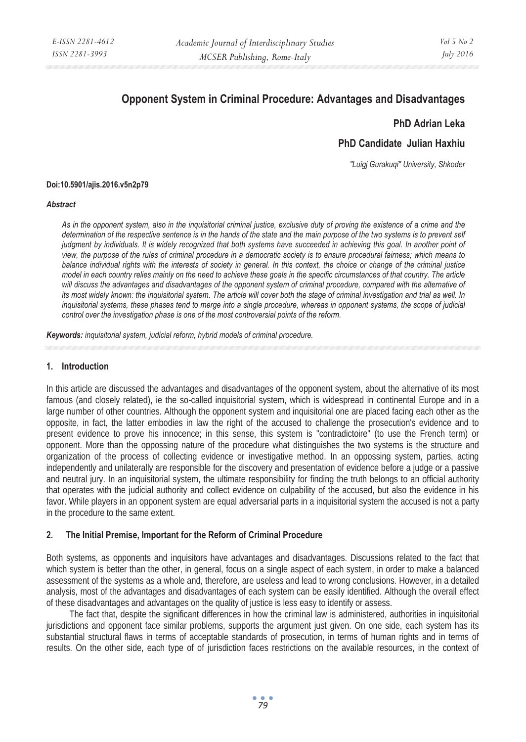# **Opponent System in Criminal Procedure: Advantages and Disadvantages**

## **PhD Adrian Leka**

## **PhD Candidate Julian Haxhiu**

*"Luigj Gurakuqi" University, Shkoder* 

### **Doi:10.5901/ajis.2016.v5n2p79**

#### *Abstract*

*As in the opponent system, also in the inquisitorial criminal justice, exclusive duty of proving the existence of a crime and the determination of the respective sentence is in the hands of the state and the main purpose of the two systems is to prevent self judgment by individuals. It is widely recognized that both systems have succeeded in achieving this goal. In another point of view, the purpose of the rules of criminal procedure in a democratic society is to ensure procedural fairness; which means to balance individual rights with the interests of society in general. In this context, the choice or change of the criminal justice model in each country relies mainly on the need to achieve these goals in the specific circumstances of that country. The article*  will discuss the advantages and disadvantages of the opponent system of criminal procedure, compared with the alternative of *its most widely known: the inquisitorial system. The article will cover both the stage of criminal investigation and trial as well. In*  inquisitorial systems, these phases tend to merge into a single procedure, whereas in opponent systems, the scope of judicial *control over the investigation phase is one of the most controversial points of the reform.* 

*Keywords: inquisitorial system, judicial reform, hybrid models of criminal procedure.*

#### **1. Introduction**

In this article are discussed the advantages and disadvantages of the opponent system, about the alternative of its most famous (and closely related), ie the so-called inquisitorial system, which is widespread in continental Europe and in a large number of other countries. Although the opponent system and inquisitorial one are placed facing each other as the opposite, in fact, the latter embodies in law the right of the accused to challenge the prosecution's evidence and to present evidence to prove his innocence; in this sense, this system is "contradictoire" (to use the French term) or opponent. More than the oppossing nature of the procedure what distinguishes the two systems is the structure and organization of the process of collecting evidence or investigative method. In an oppossing system, parties, acting independently and unilaterally are responsible for the discovery and presentation of evidence before a judge or a passive and neutral jury. In an inquisitorial system, the ultimate responsibility for finding the truth belongs to an official authority that operates with the judicial authority and collect evidence on culpability of the accused, but also the evidence in his favor. While players in an opponent system are equal adversarial parts in a inquisitorial system the accused is not a party in the procedure to the same extent.

#### **2. The Initial Premise, Important for the Reform of Criminal Procedure**

Both systems, as opponents and inquisitors have advantages and disadvantages. Discussions related to the fact that which system is better than the other, in general, focus on a single aspect of each system, in order to make a balanced assessment of the systems as a whole and, therefore, are useless and lead to wrong conclusions. However, in a detailed analysis, most of the advantages and disadvantages of each system can be easily identified. Although the overall effect of these disadvantages and advantages on the quality of justice is less easy to identify or assess.

The fact that, despite the significant differences in how the criminal law is administered, authorities in inquisitorial jurisdictions and opponent face similar problems, supports the argument just given. On one side, each system has its substantial structural flaws in terms of acceptable standards of prosecution, in terms of human rights and in terms of results. On the other side, each type of of jurisdiction faces restrictions on the available resources, in the context of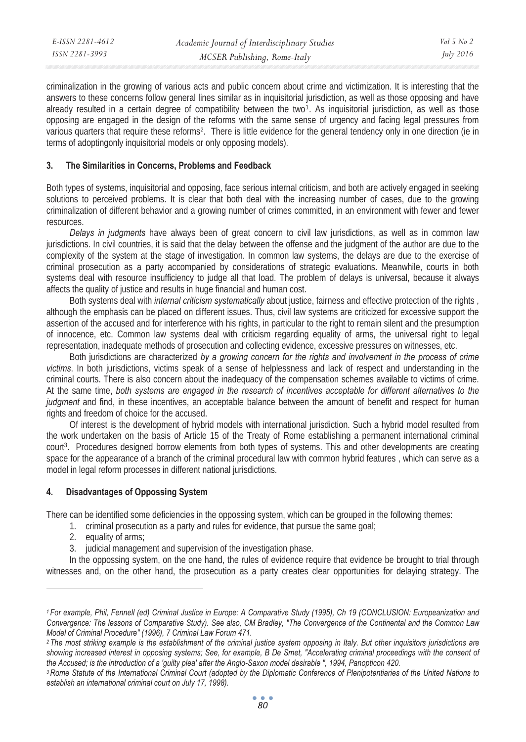| E-ISSN 2281-4612 | Academic Journal of Interdisciplinary Studies | Vol 5 No 2       |
|------------------|-----------------------------------------------|------------------|
| ISSN 2281-3993   | MCSER Publishing, Rome-Italy                  | <i>July</i> 2016 |

criminalization in the growing of various acts and public concern about crime and victimization. It is interesting that the answers to these concerns follow general lines similar as in inquisitorial jurisdiction, as well as those opposing and have already resulted in a certain degree of compatibility between the two<sup>1</sup>. As inquisitorial jurisdiction, as well as those opposing are engaged in the design of the reforms with the same sense of urgency and facing legal pressures from various quarters that require these reforms<sup>2</sup>. There is little evidence for the general tendency only in one direction (ie in terms of adoptingonly inquisitorial models or only opposing models).

#### **3. The Similarities in Concerns, Problems and Feedback**

Both types of systems, inquisitorial and opposing, face serious internal criticism, and both are actively engaged in seeking solutions to perceived problems. It is clear that both deal with the increasing number of cases, due to the growing criminalization of different behavior and a growing number of crimes committed, in an environment with fewer and fewer resources.

*Delays in judgments* have always been of great concern to civil law jurisdictions, as well as in common law jurisdictions. In civil countries, it is said that the delay between the offense and the judgment of the author are due to the complexity of the system at the stage of investigation. In common law systems, the delays are due to the exercise of criminal prosecution as a party accompanied by considerations of strategic evaluations. Meanwhile, courts in both systems deal with resource insufficiency to judge all that load. The problem of delays is universal, because it always affects the quality of justice and results in huge financial and human cost.

Both systems deal with *internal criticism systematically* about justice, fairness and effective protection of the rights , although the emphasis can be placed on different issues. Thus, civil law systems are criticized for excessive support the assertion of the accused and for interference with his rights, in particular to the right to remain silent and the presumption of innocence, etc. Common law systems deal with criticism regarding equality of arms, the universal right to legal representation, inadequate methods of prosecution and collecting evidence, excessive pressures on witnesses, etc.

Both jurisdictions are characterized *by a growing concern for the rights and involvement in the process of crime victims*. In both jurisdictions, victims speak of a sense of helplessness and lack of respect and understanding in the criminal courts. There is also concern about the inadequacy of the compensation schemes available to victims of crime. At the same time, *both systems are engaged in the research of incentives acceptable for different alternatives to the judgment* and find, in these incentives, an acceptable balance between the amount of benefit and respect for human rights and freedom of choice for the accused.

Of interest is the development of hybrid models with international jurisdiction. Such a hybrid model resulted from the work undertaken on the basis of Article 15 of the Treaty of Rome establishing a permanent international criminal court3. Procedures designed borrow elements from both types of systems. This and other developments are creating space for the appearance of a branch of the criminal procedural law with common hybrid features , which can serve as a model in legal reform processes in different national jurisdictions.

#### **4. Disadvantages of Oppossing System**

There can be identified some deficiencies in the oppossing system, which can be grouped in the following themes:

- 1. criminal prosecution as a party and rules for evidence, that pursue the same goal;
- 2. equality of arms;

 $\overline{a}$ 

3. judicial management and supervision of the investigation phase.

In the oppossing system, on the one hand, the rules of evidence require that evidence be brought to trial through witnesses and, on the other hand, the prosecution as a party creates clear opportunities for delaying strategy. The

*<sup>1</sup> For example, Phil, Fennell (ed) Criminal Justice in Europe: A Comparative Study (1995), Ch 19 (CONCLUSION: Europeanization and Convergence: The lessons of Comparative Study). See also, CM Bradley, "The Convergence of the Continental and the Common Law Model of Criminal Procedure" (1996), 7 Criminal Law Forum 471.* 

*<sup>2</sup> The most striking example is the establishment of the criminal justice system opposing in Italy. But other inquisitors jurisdictions are showing increased interest in opposing systems; See, for example, B De Smet, "Accelerating criminal proceedings with the consent of*  the Accused; is the introduction of a 'guilty plea' after the Anglo-Saxon model desirable ", 1994, Panopticon 420.<br><sup>3</sup> Rome Statute of the International Criminal Court (adopted by the Diplomatic Conference of Plenipotentia

*establish an international criminal court on July 17, 1998).*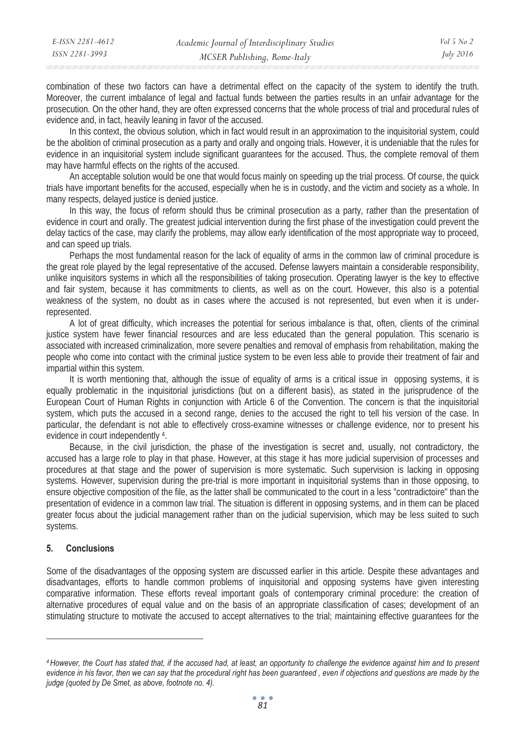| E-ISSN 2281-4612 | Academic Journal of Interdisciplinary Studies | Vol 5 No 2 |
|------------------|-----------------------------------------------|------------|
| ISSN 2281-3993   | MCSER Publishing, Rome-Italy                  | July 2016  |

combination of these two factors can have a detrimental effect on the capacity of the system to identify the truth. Moreover, the current imbalance of legal and factual funds between the parties results in an unfair advantage for the prosecution. On the other hand, they are often expressed concerns that the whole process of trial and procedural rules of evidence and, in fact, heavily leaning in favor of the accused.

In this context, the obvious solution, which in fact would result in an approximation to the inquisitorial system, could be the abolition of criminal prosecution as a party and orally and ongoing trials. However, it is undeniable that the rules for evidence in an inquisitorial system include significant guarantees for the accused. Thus, the complete removal of them may have harmful effects on the rights of the accused.

An acceptable solution would be one that would focus mainly on speeding up the trial process. Of course, the quick trials have important benefits for the accused, especially when he is in custody, and the victim and society as a whole. In many respects, delayed justice is denied justice.

In this way, the focus of reform should thus be criminal prosecution as a party, rather than the presentation of evidence in court and orally. The greatest judicial intervention during the first phase of the investigation could prevent the delay tactics of the case, may clarify the problems, may allow early identification of the most appropriate way to proceed, and can speed up trials.

Perhaps the most fundamental reason for the lack of equality of arms in the common law of criminal procedure is the great role played by the legal representative of the accused. Defense lawyers maintain a considerable responsibility, unlike inquisitors systems in which all the responsibilities of taking prosecution. Operating lawyer is the key to effective and fair system, because it has commitments to clients, as well as on the court. However, this also is a potential weakness of the system, no doubt as in cases where the accused is not represented, but even when it is underrepresented.

A lot of great difficulty, which increases the potential for serious imbalance is that, often, clients of the criminal justice system have fewer financial resources and are less educated than the general population. This scenario is associated with increased criminalization, more severe penalties and removal of emphasis from rehabilitation, making the people who come into contact with the criminal justice system to be even less able to provide their treatment of fair and impartial within this system.

It is worth mentioning that, although the issue of equality of arms is a critical issue in opposing systems, it is equally problematic in the inquisitorial jurisdictions (but on a different basis), as stated in the jurisprudence of the European Court of Human Rights in conjunction with Article 6 of the Convention. The concern is that the inquisitorial system, which puts the accused in a second range, denies to the accused the right to tell his version of the case. In particular, the defendant is not able to effectively cross-examine witnesses or challenge evidence, nor to present his evidence in court independently 4.

Because, in the civil jurisdiction, the phase of the investigation is secret and, usually, not contradictory, the accused has a large role to play in that phase. However, at this stage it has more judicial supervision of processes and procedures at that stage and the power of supervision is more systematic. Such supervision is lacking in opposing systems. However, supervision during the pre-trial is more important in inquisitorial systems than in those opposing, to ensure objective composition of the file, as the latter shall be communicated to the court in a less "contradictoire" than the presentation of evidence in a common law trial. The situation is different in opposing systems, and in them can be placed greater focus about the judicial management rather than on the judicial supervision, which may be less suited to such systems.

### **5. Conclusions**

 $\overline{a}$ 

Some of the disadvantages of the opposing system are discussed earlier in this article. Despite these advantages and disadvantages, efforts to handle common problems of inquisitorial and opposing systems have given interesting comparative information. These efforts reveal important goals of contemporary criminal procedure: the creation of alternative procedures of equal value and on the basis of an appropriate classification of cases; development of an stimulating structure to motivate the accused to accept alternatives to the trial; maintaining effective guarantees for the

*<sup>4</sup> However, the Court has stated that, if the accused had, at least, an opportunity to challenge the evidence against him and to present evidence in his favor, then we can say that the procedural right has been guaranteed , even if objections and questions are made by the judge (quoted by De Smet, as above, footnote no. 4).*